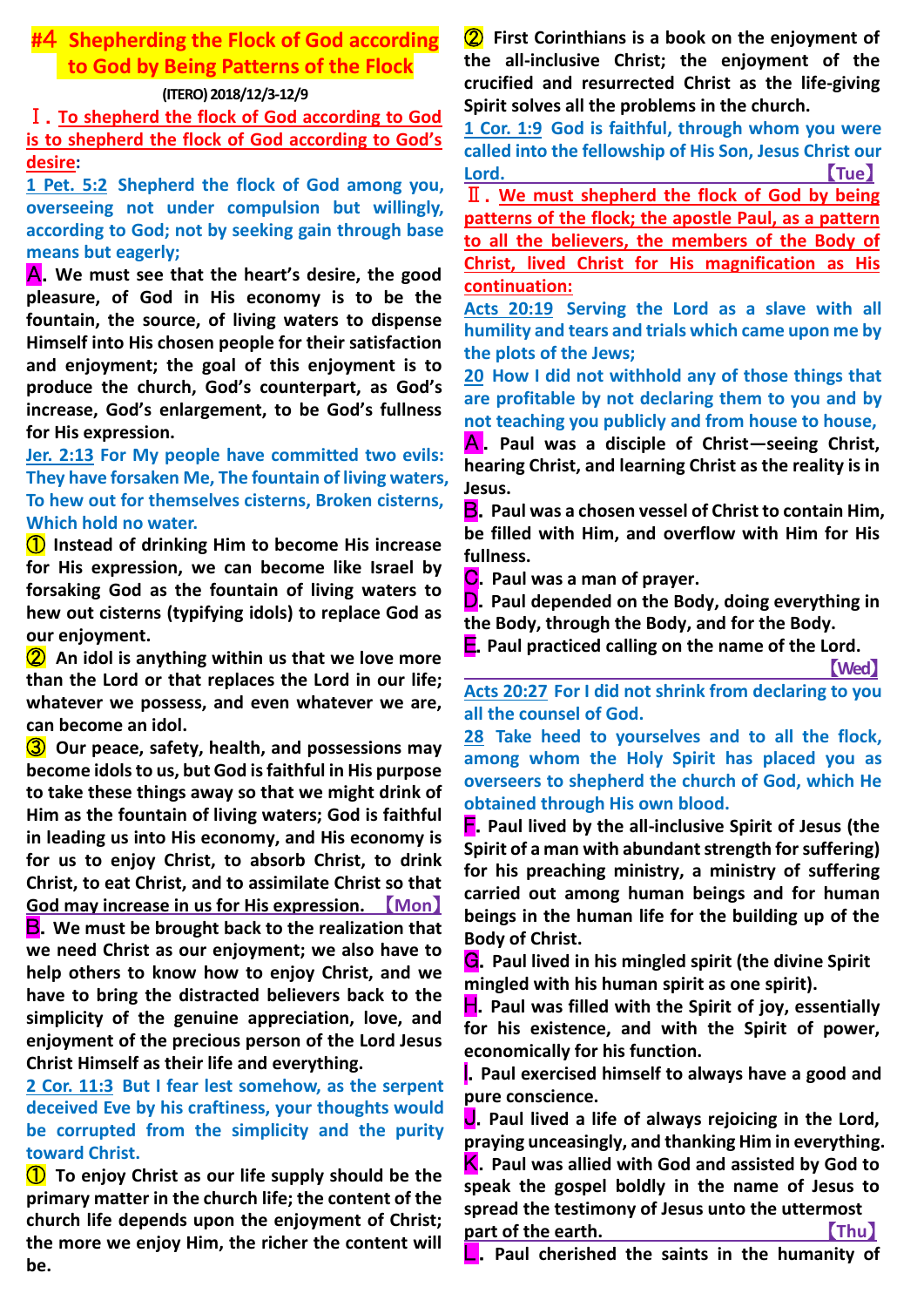# **#**4 **Shepherding the Flock of God according to God by Being Patterns of the Flock**

#### **(ITERO) 2018/12/3-12/9**

Ⅰ.**To shepherd the flock of God according to God is to shepherd the flock of God according to God's desire:**

**1 Pet. 5:2 Shepherd the flock of God among you, overseeing not under compulsion but willingly, according to God; not by seeking gain through base means but eagerly;**

A.**We must see that the heart's desire, the good pleasure, of God in His economy is to be the fountain, the source, of living waters to dispense Himself into His chosen people for their satisfaction and enjoyment; the goal of this enjoyment is to produce the church, God's counterpart, as God's increase, God's enlargement, to be God's fullness for His expression.**

**Jer. 2:13 For My people have committed two evils: They have forsaken Me, The fountain of living waters, To hew out for themselves cisterns, Broken cisterns, Which hold no water.**

① **Instead of drinking Him to become His increase for His expression, we can become like Israel by forsaking God as the fountain of living waters to hew out cisterns (typifying idols) to replace God as our enjoyment.**

② **An idol is anything within us that we love more than the Lord or that replaces the Lord in our life; whatever we possess, and even whatever we are, can become an idol.**

③ **Our peace, safety, health, and possessions may become idols to us, but God is faithful in His purpose to take these things away so that we might drink of Him as the fountain of living waters; God is faithful in leading us into His economy, and His economy is for us to enjoy Christ, to absorb Christ, to drink Christ, to eat Christ, and to assimilate Christ so that God may increase in us for His expression.** 【**Mon**】

B.**We must be brought back to the realization that we need Christ as our enjoyment; we also have to help others to know how to enjoy Christ, and we have to bring the distracted believers back to the simplicity of the genuine appreciation, love, and enjoyment of the precious person of the Lord Jesus Christ Himself as their life and everything.**

# **2 Cor. 11:3 But I fear lest somehow, as the serpent deceived Eve by his craftiness, your thoughts would be corrupted from the simplicity and the purity toward Christ.**

① **To enjoy Christ as our life supply should be the primary matter in the church life; the content of the church life depends upon the enjoyment of Christ; the more we enjoy Him, the richer the content will be.** 

② **First Corinthians is a book on the enjoyment of the all-inclusive Christ; the enjoyment of the crucified and resurrected Christ as the life-giving Spirit solves all the problems in the church.**

**1 Cor. 1:9 God is faithful, through whom you were called into the fellowship of His Son, Jesus Christ our Lord.** 【**Tue**】

Ⅱ.**We must shepherd the flock of God by being patterns of the flock; the apostle Paul, as a pattern to all the believers, the members of the Body of Christ, lived Christ for His magnification as His continuation:**

**Acts 20:19 Serving the Lord as a slave with all humility and tears and trials which came upon me by the plots of the Jews;**

**20 How I did not withhold any of those things that are profitable by not declaring them to you and by not teaching you publicly and from house to house,**

A . **Paul was a disciple of Christ—seeing Christ, hearing Christ, and learning Christ as the reality is in Jesus.**

B.**Paul was a chosen vessel of Christ to contain Him, be filled with Him, and overflow with Him for His fullness.**

C.**Paul was a man of prayer.**

D.**Paul depended on the Body, doing everything in the Body, through the Body, and for the Body.**

E.**Paul practiced calling on the name of the Lord.**

【**Wed**】

**Acts 20:27 For I did not shrink from declaring to you all the counsel of God.**

**28 Take heed to yourselves and to all the flock, among whom the Holy Spirit has placed you as overseers to shepherd the church of God, which He obtained through His own blood.**

F.**Paul lived by the all-inclusive Spirit of Jesus (the Spirit of a man with abundant strength forsuffering) for his preaching ministry, a ministry of suffering carried out among human beings and for human beings in the human life for the building up of the Body of Christ.**

G.**Paul lived in his mingled spirit (the divine Spirit mingled with his human spirit as one spirit).**

**H**. Paul was filled with the Spirit of joy, essentially **for his existence, and with the Spirit of power, economically for his function.**

**I.** Paul exercised himself to always have a good and **pure conscience.**

J.**Paul lived a life of always rejoicing in the Lord, praying unceasingly, and thanking Him in everything.** K.**Paul was allied with God and assisted by God to speak the gospel boldly in the name of Jesus to spread the testimony of Jesus unto the uttermost**

**part of the earth.** Thu

Paul cherished the saints in the humanity of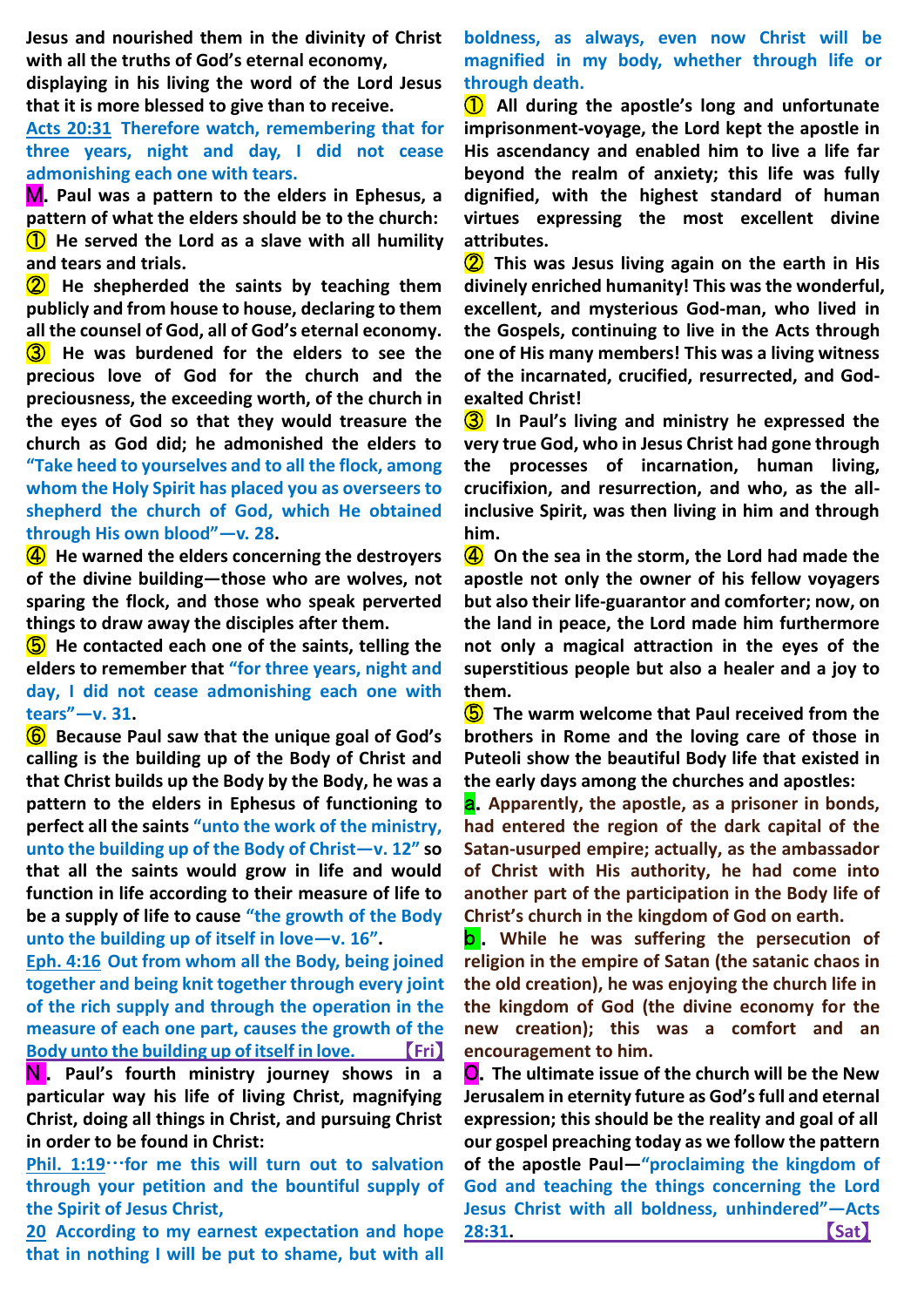**Jesus and nourished them in the divinity of Christ with all the truths of God's eternal economy,**

**displaying in his living the word of the Lord Jesus that it is more blessed to give than to receive.**

**Acts 20:31 Therefore watch, remembering that for three years, night and day, I did not cease admonishing each one with tears.**

M.**Paul was a pattern to the elders in Ephesus, a pattern of what the elders should be to the church:** ① **He served the Lord as a slave with all humility and tears and trials.**

② **He shepherded the saints by teaching them publicly and from house to house, declaring to them all the counsel of God, all of God's eternal economy.** ③ **He was burdened for the elders to see the precious love of God for the church and the preciousness, the exceeding worth, of the church in the eyes of God so that they would treasure the church as God did; he admonished the elders to "Take heed to yourselves and to all the flock, among whom the Holy Spirit has placed you as overseers to shepherd the church of God, which He obtained through His own blood"—v. 28.**

④ **He warned the elders concerning the destroyers of the divine building—those who are wolves, not sparing the flock, and those who speak perverted things to draw away the disciples after them.**

⑤ **He contacted each one of the saints, telling the elders to remember that "for three years, night and day, I did not cease admonishing each one with tears"—v. 31.**

⑥ **Because Paul saw that the unique goal of God's calling is the building up of the Body of Christ and that Christ builds up the Body by the Body, he was a pattern to the elders in Ephesus of functioning to perfect all the saints "unto the work of the ministry, unto the building up of the Body of Christ—v. 12" so that all the saints would grow in life and would function in life according to their measure of life to be a supply of life to cause "the growth of the Body unto the building up of itself in love—v. 16".**

**Eph. 4:16 Out from whom all the Body, being joined together and being knit together through every joint of the rich supply and through the operation in the measure of each one part, causes the growth of the Body unto the building up of itself in love.** 【**Fri**】

N . **Paul's fourth ministry journey shows in a particular way his life of living Christ, magnifying Christ, doing all things in Christ, and pursuing Christ in order to be found in Christ:**

**Phil. 1:19**…**for me this will turn out to salvation through your petition and the bountiful supply of the Spirit of Jesus Christ,**

**20 According to my earnest expectation and hope that in nothing I will be put to shame, but with all** 

**boldness, as always, even now Christ will be magnified in my body, whether through life or through death.**

① **All during the apostle's long and unfortunate imprisonment-voyage, the Lord kept the apostle in His ascendancy and enabled him to live a life far beyond the realm of anxiety; this life was fully dignified, with the highest standard of human virtues expressing the most excellent divine attributes.**

② **This was Jesus living again on the earth in His divinely enriched humanity! This was the wonderful, excellent, and mysterious God-man, who lived in the Gospels, continuing to live in the Acts through one of His many members! This was a living witness of the incarnated, crucified, resurrected, and Godexalted Christ!**

③ **In Paul's living and ministry he expressed the very true God, who in Jesus Christ had gone through the processes of incarnation, human living, crucifixion, and resurrection, and who, as the allinclusive Spirit, was then living in him and through him.**

④ **On the sea in the storm, the Lord had made the apostle not only the owner of his fellow voyagers but also their life-guarantor and comforter; now, on the land in peace, the Lord made him furthermore not only a magical attraction in the eyes of the superstitious people but also a healer and a joy to them.**

⑤ **The warm welcome that Paul received from the brothers in Rome and the loving care of those in Puteoli show the beautiful Body life that existed in the early days among the churches and apostles:**

a.**Apparently, the apostle, as a prisoner in bonds, had entered the region of the dark capital of the Satan-usurped empire; actually, as the ambassador of Christ with His authority, he had come into another part of the participation in the Body life of Christ's church in the kingdom of God on earth.**

b . **While he was suffering the persecution of religion in the empire of Satan (the satanic chaos in the old creation), he was enjoying the church life in the kingdom of God (the divine economy for the new creation); this was a comfort and an encouragement to him.**

O.**The ultimate issue of the church will be the New Jerusalem in eternity future as God's full and eternal expression; this should be the reality and goal of all our gospel preaching today as we follow the pattern of the apostle Paul—"proclaiming the kingdom of God and teaching the things concerning the Lord Jesus Christ with all boldness, unhindered"—Acts 28:31.** 【**Sat**】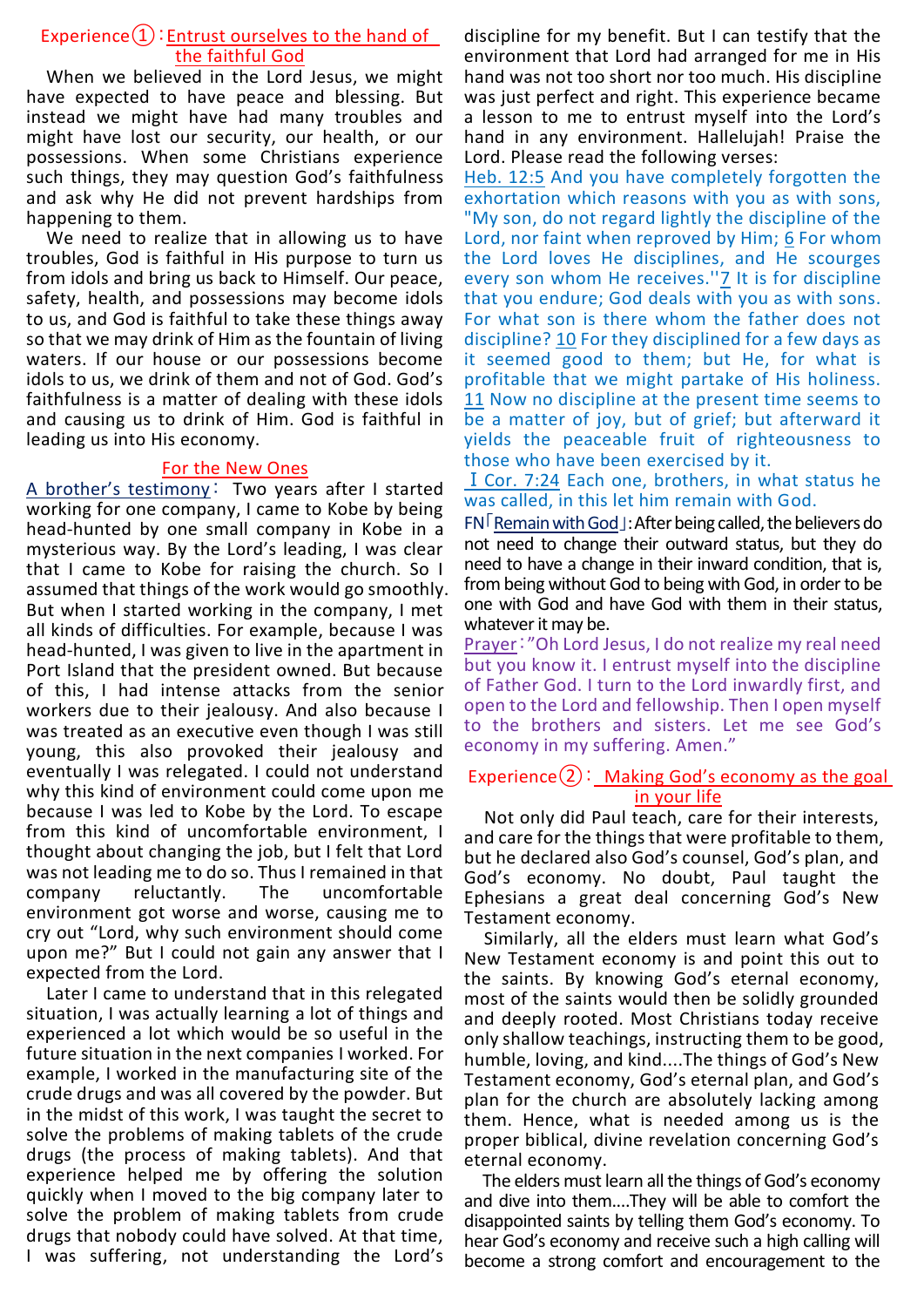## Experience $(1)$ : Entrust ourselves to the hand of the faithful God

When we believed in the Lord Jesus, we might have expected to have peace and blessing. But instead we might have had many troubles and might have lost our security, our health, or our possessions. When some Christians experience such things, they may question God's faithfulness and ask why He did not prevent hardships from happening to them.

We need to realize that in allowing us to have troubles, God is faithful in His purpose to turn us from idols and bring us back to Himself. Our peace, safety, health, and possessions may become idols to us, and God is faithful to take these things away so that we may drink of Him as the fountain of living waters. If our house or our possessions become idols to us, we drink of them and not of God. God's faithfulness is a matter of dealing with these idols and causing us to drink of Him. God is faithful in leading us into His economy.

#### For the New Ones

A brother's testimony: Two years after I started working for one company, I came to Kobe by being head-hunted by one small company in Kobe in a mysterious way. By the Lord's leading, I was clear that I came to Kobe for raising the church. So I assumed that things of the work would go smoothly. But when I started working in the company, I met all kinds of difficulties. For example, because I was head-hunted, I was given to live in the apartment in Port Island that the president owned. But because of this, I had intense attacks from the senior workers due to their jealousy. And also because I was treated as an executive even though I was still young, this also provoked their jealousy and eventually I was relegated. I could not understand why this kind of environment could come upon me because I was led to Kobe by the Lord. To escape from this kind of uncomfortable environment, I thought about changing the job, but I felt that Lord was not leading me to do so. Thus I remained in that company reluctantly. The uncomfortable environment got worse and worse, causing me to cry out "Lord, why such environment should come upon me?" But I could not gain any answer that I expected from the Lord.

Later I came to understand that in this relegated situation, I was actually learning a lot of things and experienced a lot which would be so useful in the future situation in the next companies I worked. For example, I worked in the manufacturing site of the crude drugs and was all covered by the powder. But in the midst of this work, I was taught the secret to solve the problems of making tablets of the crude drugs (the process of making tablets). And that experience helped me by offering the solution quickly when I moved to the big company later to solve the problem of making tablets from crude drugs that nobody could have solved. At that time, I was suffering, not understanding the Lord's

discipline for my benefit. But I can testify that the environment that Lord had arranged for me in His hand was not too short nor too much. His discipline was just perfect and right. This experience became a lesson to me to entrust myself into the Lord's hand in any environment. Hallelujah! Praise the Lord. Please read the following verses:

Heb. 12:5 And you have completely forgotten the exhortation which reasons with you as with sons, "My son, do not regard lightly the discipline of the Lord, nor faint when reproved by Him; 6 For whom the Lord loves He disciplines, and He scourges every son whom He receives."<sup>7</sup> It is for discipline that you endure; God deals with you as with sons. For what son is there whom the father does not discipline? 10 For they disciplined for a few days as it seemed good to them; but He, for what is profitable that we might partake of His holiness. 11 Now no discipline at the present time seems to be a matter of joy, but of grief; but afterward it yields the peaceable fruit of righteousness to those who have been exercised by it.

### ⅠCor. 7:24 Each one, brothers, in what status he was called, in this let him remain with God.

FN「Remain with God」:After being called, the believers do not need to change their outward status, but they do need to have a change in their inward condition, that is, from being without God to being with God, in order to be one with God and have God with them in their status, whatever it may be.

Prayer:"Oh Lord Jesus, I do not realize my real need but you know it. I entrust myself into the discipline of Father God. I turn to the Lord inwardly first, and open to the Lord and fellowship. Then I open myself to the brothers and sisters. Let me see God's economy in my suffering. Amen."

### Experience $(2)$ : Making God's economy as the goal in your life

Not only did Paul teach, care for their interests, and care for the things that were profitable to them, but he declared also God's counsel, God's plan, and God's economy. No doubt, Paul taught the Ephesians a great deal concerning God's New Testament economy.

Similarly, all the elders must learn what God's New Testament economy is and point this out to the saints. By knowing God's eternal economy, most of the saints would then be solidly grounded and deeply rooted. Most Christians today receive only shallow teachings, instructing them to be good, humble, loving, and kind....The things of God's New Testament economy, God's eternal plan, and God's plan for the church are absolutely lacking among them. Hence, what is needed among us is the proper biblical, divine revelation concerning God's eternal economy.

The elders must learn all the things of God's economy and dive into them....They will be able to comfort the disappointed saints by telling them God's economy. To hear God's economy and receive such a high calling will become a strong comfort and encouragement to the